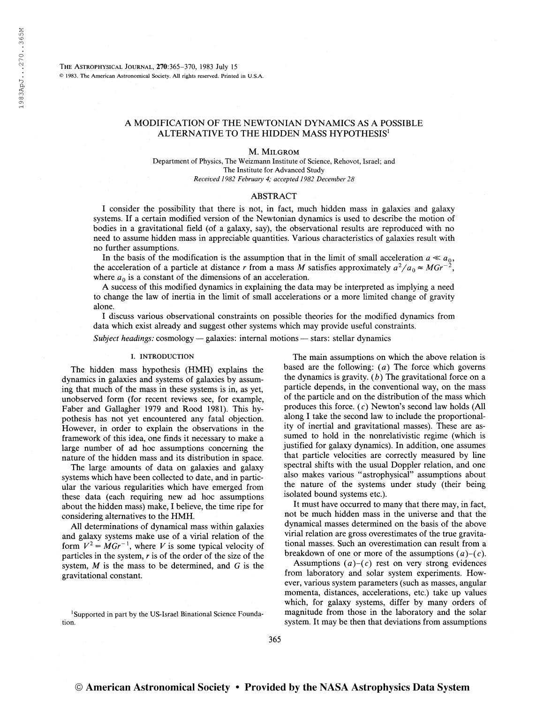The Astrophysical Journal, 270:365-370, 1983 July <sup>15</sup> © 1983. The American Astronomical Society. All rights reserved. Printed in U.S.A.

# A MODIFICATION OF THE NEWTONIAN DYNAMICS AS A POSSIBLE ALTERNATIVE TO THE HIDDEN MASS HYPOTHESIS<sup>1</sup>

M. Milgrom

Department of Physics, The Weizmann Institute of Science, Rehovot, Israel; and The Institute for Advanced Study Received 1982 February 4; accepted 1982 December 28

# ABSTRACT

I consider the possibility that there is not, in fact, much hidden mass in galaxies and galaxy systems. If a certain modified version of the Newtonian dynamics is used to describe the motion of bodies in a gravitational field (of a galaxy, say), the observational results are reproduced with no need to assume hidden mass in appreciable quantities. Various characteristics of galaxies result with no further assumptions.

In the basis of the modification is the assumption that in the limit of small acceleration  $a \ll a_0$ , acceleration of a particle at distance r from a mass M satisfies approximately  $a^2/a_0 \approx MGr^{-2}$ , the acceleration of a particle at distance r from a mass  $M$  satisfies approximately  $a^2$ where  $a_0$  is a constant of the dimensions of an acceleration.

A success of this modified dynamics in explaining the data may be interpreted as implying a need to change the law of inertia in the limit of small accelerations or a more limited change of gravity alone.

I discuss various observational constraints on possible theories for the modified dynamics from data which exist already and suggest other systems which may provide useful constraints.

Subject headings: cosmology — galaxies: internal motions — stars: stellar dynamics

# I. INTRODUCTION

The hidden mass hypothesis (HMH) explains the dynamics in galaxies and systems of galaxies by assuming that much of the mass in these systems is in, as yet, unobserved form (for recent reviews see, for example, Faber and Gallagher 1979 and Rood 1981). This hypothesis has not yet encountered any fatal objection. However, in order to explain the observations in the framework of this idea, one finds it necessary to make a large number of ad hoc assumptions concerning the nature of the hidden mass and its distribution in space.

The large amounts of data on galaxies and galaxy systems which have been collected to date, and in particular the various regularities which have emerged from these data (each requiring new ad hoc assumptions about the hidden mass) make, I believe, the time ripe for considering alternatives to the HMH.

All determinations of dynamical mass within galaxies and galaxy systems make use of a virial relation of the form  $V^2 = M G r^{-1}$ , where V is some typical velocity of particles in the system,  $r$  is of the order of the size of the system,  $M$  is the mass to be determined, and  $G$  is the gravitational constant.

The main assumptions on which the above relation is based are the following:  $(a)$  The force which governs the dynamics is gravity.  $(b)$  The gravitational force on a particle depends, in the conventional way, on the mass of the particle and on the distribution of the mass which produces this force, (c) Newton's second law holds (All along I take the second law to include the proportionality of inertial and gravitational masses). These are assumed to hold in the nonrelativistic regime (which is justified for galaxy dynamics). In addition, one assumes that particle velocities are correctly measured by line spectral shifts with the usual Doppler relation, and one also makes various "astrophysical" assumptions about the nature of the systems under study (their being isolated bound systems etc.).

It must have occurred to many that there may, in fact, not be much hidden mass in the universe and that the dynamical masses determined on the basis of the above virial relation are gross overestimates of the true gravitational masses. Such an overestimation can result from a breakdown of one or more of the assumptions  $(a)-(c)$ .

Assumptions  $(a)-(c)$  rest on very strong evidences from laboratory and solar system experiments. However, various system parameters (such as masses, angular momenta, distances, accelerations, etc.) take up values which, for galaxy systems, differ by many orders of magnitude from those in the laboratory and the solar system. It may be then that deviations from assumptions

<sup>&</sup>lt;sup>1</sup> Supported in part by the US-Israel Binational Science Foundation.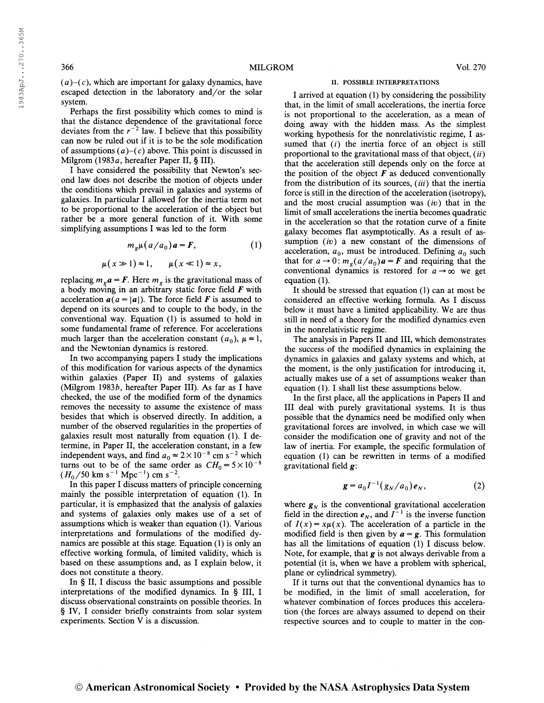$(a)-(c)$ , which are important for galaxy dynamics, have escaped detection in the laboratory and/or the solar system.

Perhaps the first possibility which comes to mind is that the distance dependence of the gravitational force that the distance dependence of the gravitational force<br>deviates from the  $r^{-2}$  law. I believe that this possibility can now be ruled out if it is to be the sole modification of assumptions  $(a)-(c)$  above. This point is discussed in Milgrom (1983a, hereafter Paper II, § III).

I have considered the possibility that Newton's second law does not describe the motion of objects under the conditions which prevail in galaxies and systems of galaxies. In particular I allowed for the inertia term not to be proportional to the acceleration of the object but rather be a more general function of it. With some simplifying assumptions I was led to the form

$$
m_g \mu (a/a_0) a = F,
$$
 (1)

$$
\mu(x \gg 1) \approx 1, \qquad \mu(x \ll 1) \approx x,
$$

replacing  $m_g a = F$ . Here  $m_g$  is the gravitational mass of a body moving in an arbitrary static force field  $\bm{F}$  with acceleration  $a(a = |a|)$ . The force field **F** is assumed to depend on its sources and to couple to the body, in the conventional way. Equation (1) is assumed to hold in some fundamental frame of reference. For accelerations much larger than the acceleration constant  $(a_0)$ ,  $\mu \approx 1$ , and the Newtonian dynamics is restored.

In two accompanying papers I study the implications of this modification for various aspects of the dynamics within galaxies (Paper II) and systems of galaxies (Milgrom 1983 $b$ , hereafter Paper III). As far as I have checked, the use of the modified form of the dynamics removes the necessity to assume the existence of mass besides that which is observed directly. In addition, a number of the observed regularities in the properties of galaxies result most naturally from equation (1). I determine, in Paper II, the acceleration constant, in a few termine, in Paper II, the acceleration constant, in a few<br>independent ways, and find  $a_0 \approx 2 \times 10^{-8}$  cm s<sup>-2</sup> which turns out to be of the same order as  $CH_0 = 5 \times 10^{-8}$ <br>  $(H_0/50 \text{ km s}^{-1} \text{ Mpc}^{-1}) \text{ cm s}^{-2}$ .  $^{-1}$  Mpc<sup>-1</sup>) cm s<sup>-2</sup>.

In this paper I discuss matters of principle concerning mainly the possible interpretation of equation (1). In particular, it is emphasized that the analysis of galaxies and systems of galaxies only makes use of a set of assumptions which is weaker than equation (1). Various interpretations and formulations of the modified dynamics are possible at this stage. Equation (1) is only an effective working formula, of limited validity, which is based on these assumptions and, as I explain below, it does not constitute a theory.

In § II, I discuss the basic assumptions and possible interpretations of the modified dynamics. In § III, I discuss observational constraints on possible theories. In § IV, I consider briefly constraints from solar system experiments. Section V is a discussion.

## II. POSSIBLE INTERPRETATIONS

I arrived at equation (1) by considering the possibility that, in the limit of small accelerations, the inertia force is not proportional to the acceleration, as a mean of doing away with the hidden mass. As the simplest working hypothesis for the nonrelativistic regime, I assumed that  $(i)$  the inertia force of an object is still proportional to the gravitational mass of that object,  $(ii)$ that the acceleration still depends only on the force at the position of the object  $\boldsymbol{F}$  as deduced conventionally from the distribution of its sources,  $(iii)$  that the inertia force is still in the direction of the acceleration (isotropy), and the most crucial assumption was  $(iv)$  that in the limit of small accelerations the inertia becomes quadratic in the acceleration so that the rotation curve of a finite galaxy becomes flat asymptotically. As a result of assumption  $(iv)$  a new constant of the dimensions of acceleration,  $a_0$ , must be introduced. Defining  $a_0$  such that for  $a \to 0$ :  $m_g(a/a_0)a = F$  and requiring that the that for  $a \to 0$ :  $m_q(a/a_0)$   $a = F$  and requiring that the conventional dynamics is restored for  $a \rightarrow \infty$  we get equation (1).

It should be stressed that equation (1) can at most be considered an effective working formula. As I discuss below it must have a limited applicability. We are thus still in need of a theory for the modified dynamics even in the nonrelativistic regime.

The analysis in Papers II and III, which demonstrates the success of the modified dynamics in explaining the dynamics in galaxies and galaxy systems and which, at the moment, is the only justification for introducing it, actually makes use of a set of assumptions weaker than equation (1). I shall list these assumptions below.

In the first place, all the applications in Papers II and III deal with purely gravitational systems. It is thus possible that the dynamics need be modified only when gravitational forces are involved, in which case we will consider the modification one of gravity and not of the law of inertia. For example, the specific formulation of equation (1) can be rewritten in terms of a modified gravitational field g:

$$
g = a_0 I^{-1} (g_N/a_0) e_N,
$$
 (2)

where  $g_N$  is the conventional gravitational acceleration field in the direction  $e_N$ , and  $I^{-1}$  is the inverse function of  $I(x) = x\mu(x)$ . The acceleration of a particle in the modified field is then given by  $a = g$ . This formulation has all the limitations of equation (1) I discuss below. Note, for example, that  $g$  is not always derivable from a potential (it is, when we have a problem with spherical, plane or cylindrical symmetry).

If it turns out that the conventional dynamics has to be modified, in the limit of small acceleration, for whatever combination of forces produces this acceleration (the forces are always assumed to depend on their respective sources and to couple to matter in the con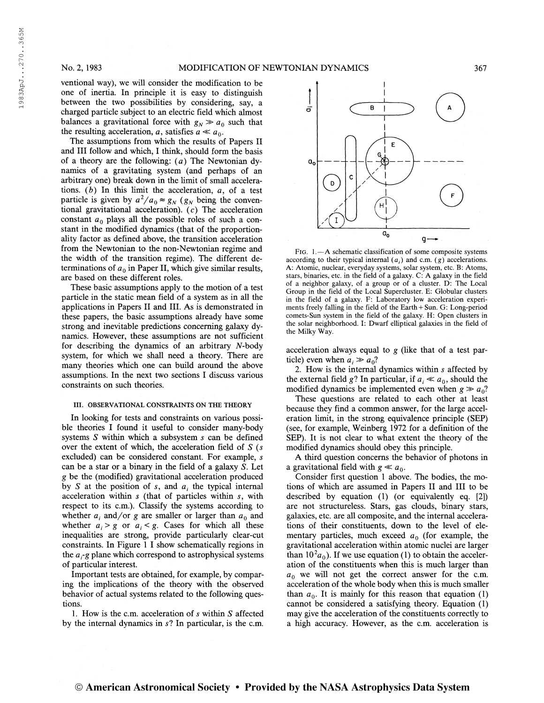ventional way), we will consider the modification to be one of inertia. In principle it is easy to distinguish between the two possibilities by considering, say, a charged particle subject to an electric field which almost balances a gravitational force with  $g_N \gg a_0$  such that the resulting acceleration, a, satisfies  $a \ll a_0$ .

The assumptions from which the results of Papers II and III follow and which, I think, should form the basis of a theory are the following:  $(a)$  The Newtonian dynamics of a gravitating system (and perhaps of an arbitrary one) break down in the limit of small accelerations.  $(b)$  In this limit the acceleration,  $a$ , of a test particle is given by  $a^2/a_0 \approx g_N$  ( $g_N$  being the conventional gravitational acceleration), (c) The acceleration constant  $a_0$  plays all the possible roles of such a constant in the modified dynamics (that of the proportionality factor as defined above, the transition acceleration from the Newtonian to the non-Newtonian regime and the width of the transition regime). The different determinations of  $a_0$  in Paper II, which give similar results, are based on these different roles.

These basic assumptions apply to the motion of a test particle in the static mean field of a system as in all the applications in Papers II and III. As is demonstrated in these papers, the basic assumptions already have some strong and inevitable predictions concerning galaxy dynamics. However, these assumptions are not sufficient for describing the dynamics of an arbitrary A-body system, for which we shall need a theory. There are many theories which one can build around the above assumptions. In the next two sections I discuss various constraints on such theories.

## III. OBSERVATIONAL CONSTRAINTS ON THE THEORY

In looking for tests and constraints on various possible theories I found it useful to consider many-body systems S within which a subsystem s can be defined over the extent of which, the acceleration field of  $S(s)$ excluded) can be considered constant. For example, s can be a star or a binary in the field of a galaxy S. Let g be the (modified) gravitational acceleration produced by S at the position of s, and  $a_i$  the typical internal acceleration within s (that of particles within s, with respect to its c.m.). Classify the systems according to whether  $a_i$ , and/or g are smaller or larger than  $a_0$  and whether  $a_i > g$  or  $a_i < g$ . Cases for which all these inequalities are strong, provide particularly clear-cut constraints. In Figure <sup>1</sup> I show schematically regions in the  $a_i$ -g plane which correspond to astrophysical systems of particular interest.

Important tests are obtained, for example, by comparing the implications of the theory with the observed behavior of actual systems related to the following questions.

1. How is the c.m. acceleration of  $s$  within  $S$  affected by the internal dynamics in 5? In particular, is the c.m.



Fig. 1.—A schematic classification of some composite systems according to their typical internal  $(a_i)$  and c.m.  $(g)$  accelerations. A: Atomic, nuclear, everyday systems, solar system, etc. B: Atoms, stars, binaries, etc. in the field of a galaxy. C: A galaxy in the field of a neighbor galaxy, of a group or of a cluster. D: The Local Group in the field of the Local Supercluster. E: Globular clusters in the field of a galaxy. F: Laboratory low acceleration experiments freely falling in the field of the Earth + Sun. G: Long-period comets-Sun system in the field of the galaxy. H: Open clusters in the solar neighborhood. I: Dwarf elliptical galaxies in the field of the Milky Way.

acceleration always equal to g (like that of a test particle) even when  $a_i \gg a_0$ ?

2. How is the internal dynamics within s affected by the external field g? In particular, if  $a_i \ll a_0$ , should the modified dynamics be implemented even when  $g \gg a_0$ ?

These questions are related to each other at least because they find a common answer, for the large acceleration limit, in the strong equivalence principle (SEP) (see, for example, Weinberg 1972 for a definition of the SEP). It is not clear to what extent the theory of the modified dynamics should obey this principle.

A third question concerns the behavior of photons in a gravitational field with  $g \ll a_0$ .

Consider first question <sup>1</sup> above. The bodies, the motions of which are assumed in Papers II and III to be described by equation (1) (or equivalently eq. [2]) are not structureless. Stars, gas clouds, binary stars, galaxies, etc. are all composite, and the internal accelerations of their constituents, down to the level of elementary particles, much exceed  $a_0$  (for example, the gravitational acceleration within atomic nuclei are larger than  $10^2 a_0$ ). If we use equation (1) to obtain the acceleration of the constituents when this is much larger than  $a_0$  we will not get the correct answer for the c.m. acceleration of the whole body when this is much smaller than  $a_{0}$ . It is mainly for this reason that equation (1) cannot be considered a satisfying theory. Equation (1) may give the acceleration of the constituents correctly to a high accuracy. However, as the c.m. acceleration is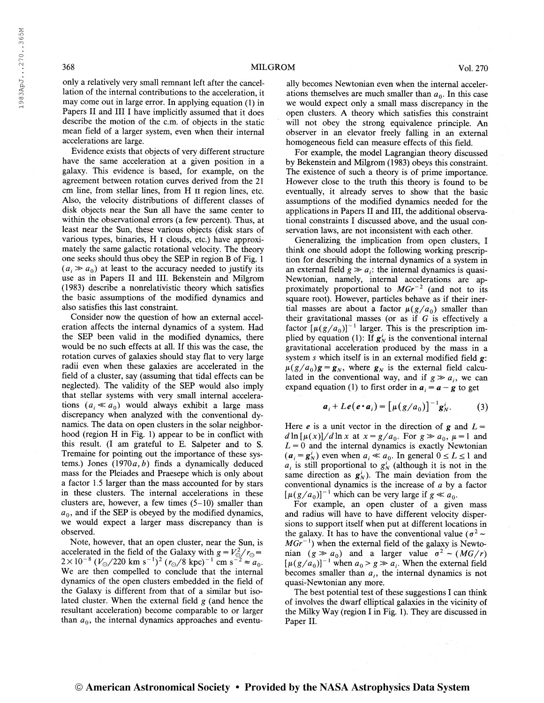only a relatively very small remnant left after the cancellation of the internal contributions to the acceleration, it may come out in large error. In applying equation (1) in Papers II and III I have implicitly assumed that it does describe the motion of the c.m. of objects in the static mean field of a larger system, even when their internal accelerations are large.

Evidence exists that objects of very different structure have the same acceleration at a given position in a galaxy. This evidence is based, for example, on the agreement between rotation curves derived from the 21 cm line, from stellar lines, from H II region lines, etc. Also, the velocity distributions of different classes of disk objects near the Sun all have the same center to within the observational errors (a few percent). Thus, at least near the Sun, these various objects (disk stars of various types, binaries, H i clouds, etc.) have approximately the same galactic rotational velocity. The theory one seeks should thus obey the SEP in region B of Fig. <sup>1</sup>  $(a_i \gg a_0)$  at least to the accuracy needed to justify its use as in Papers II and III. Bekenstein and Milgrom (1983) describe a nonrelativistic theory which satisfies the basic assumptions of the modified dynamics and also satisfies this last constraint.

Consider now the question of how an external acceleration affects the internal dynamics of a system. Had the SEP been vahd in the modified dynamics, there would be no such effects at all. If this was the case, the rotation curves of galaxies should stay flat to very large radii even when these galaxies are accelerated in the field of a cluster, say (assuming that tidal effects can be neglected). The validity of the SEP would also imply that stellar systems with very small internal accelerations  $(a_i \ll a_0)$  would always exhibit a large mass discrepancy when analyzed with the conventional dynamics. The data on open clusters in the solar neighborhood (region H in Fig. 1) appear to be in conflict with this result. (I am grateful to E. Salpeter and to S. Tremaine for pointing out the importance of these systems.) Jones  $(1970a, b)$  finds a dynamically deduced mass for the Pleiades and Praesepe which is only about a factor 1.5 larger than the mass accounted for by stars in these clusters. The internal accelerations in these clusters are, however, a few times  $(5-10)$  smaller than  $a_0$ , and if the SEP is obeyed by the modified dynamics, we would expect a larger mass discrepancy than is observed.

Note, however, that an open cluster, near the Sun, is accelerated in the field of the Galaxy with  $g = V_0^2 / r_0 = 2 \times 10^{-8} (V_0 / 220 \text{ km s}^{-1})^2 (r_0 / 8 \text{ kpc})^{-1} \text{ cm s}^{-2} \approx a_0$ . We are then compelled to conclude that the internal dynamics of the open clusters embedded in the field of the Galaxy is different from that of a similar but isolated cluster. When the external field  $g$  (and hence the resultant acceleration) become comparable to or larger than  $a_0$ , the internal dynamics approaches and eventu-

ally becomes Newtonian even when the internal accelerations themselves are much smaller than  $a_0$ . In this case we would expect only a small mass discrepancy in the open clusters. A theory which satisfies this constraint will not obey the strong equivalence principle. An observer in an elevator freely falling in an external homogeneous field can measure effects of this field.

For example, the model Lagrangian theory discussed by Bekenstein and Milgrom (1983) obeys this constraint. The existence of such a theory is of prime importance. However close to the truth this theory is found to be eventually, it already serves to show that the basic assumptions of the modified dynamics needed for the applications in Papers II and III, the additional observational constraints I discussed above, and the usual conservation laws, are not inconsistent with each other.

Generalizing the implication from open clusters, I think one should adopt the following working prescription for describing the internal dynamics of a system in an external field  $g \gg a_i$ : the internal dynamics is quasi-Newtonian, namely, internal accelerations are approximately proportional to  $MGr^{-2}$  (and not to its square root). However, particles behave as if their inertial masses are about a factor  $\mu(g/a_0)$  smaller than their gravitational masses (or as if  $G$  is effectively a factor  $[\mu(g/a_0)]^{-1}$  larger. This is the prescription implied by equation (1): If  $g_N^i$  is the conventional internal gravitational acceleration produced by the mass in a system  $s$  which itself is in an external modified field  $g$ :  $\mu(g/a_0)g = g_N$ , where  $g_N$  is the external field calculated in the conventional way, and if  $g \gg a_i$ , we can expand equation (1) to first order in  $a_i = a - g$  to get

$$
\boldsymbol{a}_i + L\boldsymbol{e}(\boldsymbol{e} \cdot \boldsymbol{a}_i) = \left[\mu(g/a_0)\right]^{-1} \boldsymbol{g}_N^i. \tag{3}
$$

Here *e* is a unit vector in the direction of g and  $L =$  $d\ln[\mu(x)]/d\ln x$  at  $x = g/a_0$ . For  $g \gg a_0$ ,  $\mu = 1$  and  $L = 0$  and the internal dynamics is exactly Newtonian  $(a_i = g_N^i)$  even when  $a_i \ll a_0$ . In general  $0 \le L \le 1$  and  $a_i$  is still proportional to  $g^i_N$  (although it is not in the same direction as  $g^i_N$ ). The main deviation from the conventional dynamics is the increase of a by a factor conventional dynamics is the increase of a by<br> $[\mu(g/a_0)]^{-1}$  which can be very large if  $g \ll a_0$ .

For example, an open cluster of a given mass and radius will have to have different velocity dispersions to support itself when put at different locations in the galaxy. It has to have the conventional value ( $\sigma^2$  ~  $MGr^{-1}$ ) when the external field of the galaxy is Newtomian  $(g \gg a_0)$  and a larger value  $\sigma^2 \sim (MG/r)$  $[\mu(g/a_0)]^{-1}$  when  $a_0 > g \gg a_i$ . When the external field becomes smaller than  $a_i$ , the internal dynamics is not quasi-Newtonian any more.

The best potential test of these suggestions I can think of involves the dwarf elliptical galaxies in the vicinity of the Milky Way (region I in Fig. 1). They are discussed in Paper II.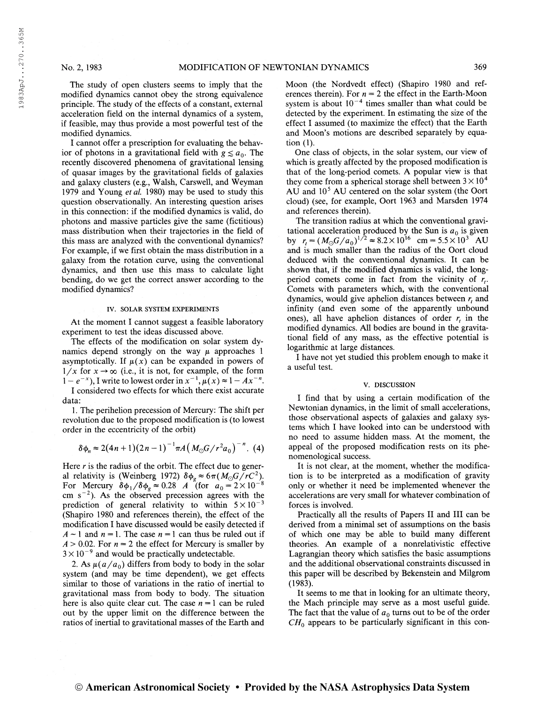1983ApJ. . .270. .365M

1983ApJ...270..365M

The study of open clusters seems to imply that the modified dynamics cannot obey the strong equivalence principle. The study of the effects of a constant, external acceleration field on the internal dynamics of a system, if feasible, may thus provide a most powerful test of the modified dynamics.

I cannot offer a prescription for evaluating the behavior of photons in a gravitational field with  $g \le a_0$ . The recently discovered phenomena of gravitational lensing of quasar images by the gravitational fields of galaxies and galaxy clusters (e.g., Walsh, Carswell, and Weyman 1979 and Young et al. 1980) may be used to study this question observationally. An interesting question arises in this connection: if the modified dynamics is valid, do photons and massive particles give the same (fictitious) mass distribution when their trajectories in the field of this mass are analyzed with the conventional dynamics? For example, if we first obtain the mass distribution in a galaxy from the rotation curve, using the conventional dynamics, and then use this mass to calculate light bending, do we get the correct answer according to the modified dynamics?

### IV. SOLAR SYSTEM EXPERIMENTS

At the moment I cannot suggest a feasible laboratory experiment to test the ideas discussed above.

The effects of the modification on solar system dynamics depend strongly on the way  $\mu$  approaches 1 asymptotically. If  $\mu(x)$  can be expanded in powers of  $1/x$  for  $x \rightarrow \infty$  (i.e., it is not, for example, of the form  $1/x$  for  $x \to \infty$  (i.e., it is not, for example, of the form<br> $1 - e^{-x}$ ), I write to lowest order in  $x^{-1}$ ,  $\mu(x) \approx 1 - Ax^{-n}$ .

I considered two effects for which there exist accurate data:

1. The perihelion precession of Mercury: The shift per revolution due to the proposed modification is (to lowest order in the eccentricity of the orbit)

$$
\delta \phi_n \approx 2(4n+1)(2n-1)^{-1} \pi A \left( M_{\odot} G / r^2 a_0 \right)^{-n} . (4)
$$

Here  $r$  is the radius of the orbit. The effect due to general relativity is (Weinberg 1972)  $\delta \phi_g \approx 6\pi (M_\odot G/RC^2)$ . For Mercury  $\delta\phi_1/\delta\phi_8 \approx 0.28$  A (for  $a_0 = 2 \times 10^{-8}$ ) cm s<sup>-2</sup>). As the observed precession agrees with the prediction of general relativity to within  $5 \times 10^{-3}$ (Shapiro 1980 and references therein), the effect of the modification I have discussed would be easily detected if  $A \sim 1$  and  $n = 1$ . The case  $n = 1$  can thus be ruled out if  $A > 0.02$ . For  $n = 2$  the effect for Mercury is smaller by  $3 \times 10^{-9}$  and would be practically undetectable.

2. As  $\mu(a/a_0)$  differs from body to body in the solar system (and may be time dependent), we get effects similar to those of variations in the ratio of inertial to gravitational mass from body to body. The situation here is also quite clear cut. The case  $n = 1$  can be ruled out by the upper limit on the difference between the ratios of inertial to gravitational masses of the Earth and

Moon (the Nordvedt effect) (Shapiro 1980 and references therein). For  $n = 2$  the effect in the Earth-Moon system is about  $10^{-4}$  times smaller than what could be detected by the experiment. In estimating the size of the effect I assumed (to maximize the effect) that the Earth and Moon's motions are described separately by equation (1).

One class of objects, in the solar system, our view of which is greatly affected by the proposed modification is that of the long-period comets. A popular view is that they come from a spherical storage shell between  $3 \times 10^4$ AU and  $10<sup>5</sup>$  AU centered on the solar system (the Oort cloud) (see, for example, Oort 1963 and Marsden 1974 and references therein).

The transition radius at which the conventional gravitational acceleration produced by the Sun is  $a_0$  is given tational acceleration produced by the Sun is  $a_0$  is given<br>by  $r_t = (M_\odot G/a_0)^{1/2} \approx 8.2 \times 10^{16}$  cm = 5.5 × 10<sup>3</sup> AU and is much smaller than the radius of the Oort cloud deduced with the conventional dynamics. It can be shown that, if the modified dynamics is valid, the longperiod comets come in fact from the vicinity of  $r_t$ . Comets with parameters which, with the conventional dynamics, would give aphelion distances between  $r<sub>t</sub>$  and infinity (and even some of the apparently unbound ones), all have aphelion distances of order  $r<sub>t</sub>$  in the modified dynamics. All bodies are bound in the gravitational field of any mass, as the effective potential is logarithmic at large distances.

I have not yet studied this problem enough to make it a useful test.

### V. DISCUSSION

I find that by using a certain modification of the Newtonian dynamics, in the limit of small accelerations, those observational aspects of galaxies and galaxy systems which I have looked into can be understood with no need to assume hidden mass. At the moment, the appeal of the proposed modification rests on its phenomenological success.

It is not clear, at the moment, whether the modification is to be interpreted as a modification of gravity only or whether it need be implemented whenever the accelerations are very small for whatever combination of forces is involved.

Practically all the results of Papers II and III can be derived from a minimal set of assumptions on the basis of which one may be able to build many different theories. An example of a nonrelativistic effective Lagrangian theory which satisfies the basic assumptions and the additional observational constraints discussed in this paper will be described by Bekenstein and Milgrom (1983).

It seems to me that in looking for an ultimate theory, the Mach principle may serve as a most useful guide. The fact that the value of  $a_0$  turns out to be of the order  $CH<sub>0</sub>$  appears to be particularly significant in this con-